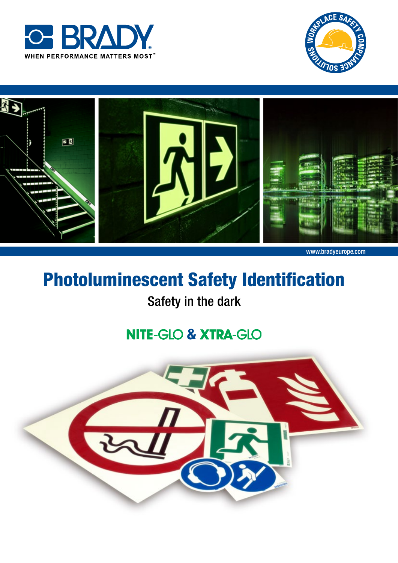





# Photoluminescent Safety Identification

## Safety in the dark

## **NITE-GLO & XTRA-GLO**

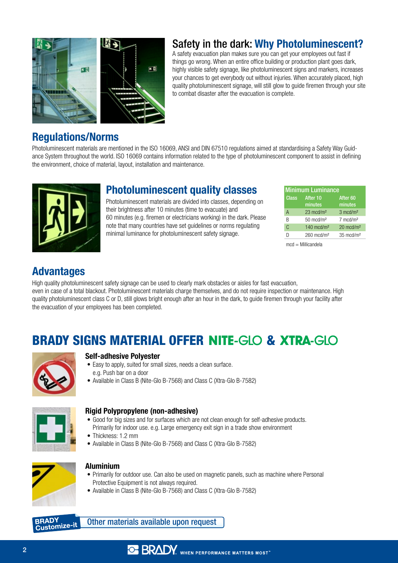

### Safety in the dark: Why Photoluminescent?

A safety evacuation plan makes sure you can get your employees out fast if things go wrong. When an entire office building or production plant goes dark, highly visible safety signage, like photoluminescent signs and markers, increases your chances to get everybody out without injuries. When accurately placed, high quality photoluminescent signage, will still glow to guide firemen through your site to combat disaster after the evacuation is complete.

### Regulations/Norms

Photoluminescent materials are mentioned in the ISO 16069, ANSI and DIN 67510 regulations aimed at standardising a Safety Way Guidance System throughout the world. ISO 16069 contains information related to the type of photoluminescent component to assist in defining the environment, choice of material, layout, installation and maintenance.



## Photoluminescent quality classes

Photoluminescent materials are divided into classes, depending on their brightness after 10 minutes (time to evacuate) and 60 minutes (e.g. firemen or electricians working) in the dark. Please note that many countries have set guidelines or norms regulating minimal luminance for photoluminescent safety signage.

| <b>Minimum Luminance</b> |                                |  |
|--------------------------|--------------------------------|--|
| After 10<br>minutes      | After <sub>60</sub><br>minutes |  |
| $23 \text{ mod/m}^2$     | $3 \text{ mod/m}^2$            |  |
| $50 \text{ mod/m}^2$     | $7$ mcd/m <sup>2</sup>         |  |
| $140 \text{ mod/m}^2$    | $20 \text{ mod/m}^2$           |  |
| $260$ mcd/m <sup>2</sup> | $35 \text{ mod/m}^2$           |  |
|                          |                                |  |

mcd = Millicandela

### Advantages

High quality photoluminescent safety signage can be used to clearly mark obstacles or aisles for fast evacuation, even in case of a total blackout. Photoluminescent materials charge themselves, and do not require inspection or maintenance. High quality photoluminescent class C or D, still glows bright enough after an hour in the dark, to guide firemen through your facility after the evacuation of your employees has been completed.

## **BRADY SIGNS MATERIAL OFFER NITE-GLO & XTRA-GLO**



#### Self-adhesive Polyester

- Easy to apply, suited for small sizes, needs a clean surface. e.g. Push bar on a door
- Available in Class B (Nite-Glo B-7568) and Class C (Xtra-Glo B-7582)



#### Rigid Polypropylene (non-adhesive)

- • Good for big sizes and for surfaces which are not clean enough for self-adhesive products. Primarily for indoor use. e.g. Large emergency exit sign in a trade show environment
- Thickness: 1.2 mm
- Available in Class B (Nite-Glo B-7568) and Class C (Xtra-Glo B-7582)



#### Aluminium

- Primarily for outdoor use. Can also be used on magnetic panels, such as machine where Personal Protective Equipment is not always required.
- Available in Class B (Nite-Glo B-7568) and Class C (Xtra-Glo B-7582)

**BRADY** Customize-it

Other materials available upon request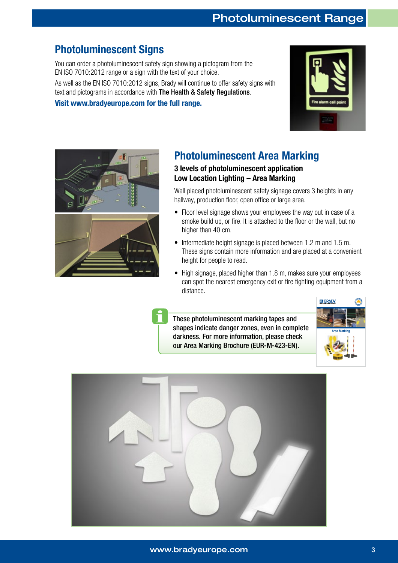### Photoluminescent Signs

You can order a photoluminescent safety sign showing a pictogram from the EN ISO 7010:2012 range or a sign with the text of your choice. As well as the EN ISO 7010:2012 signs, Brady will continue to offer safety signs with

text and pictograms in accordance with The Health & Safety Regulations.

Visit www.bradyeurope.com for the full range.





## Photoluminescent Area Marking

### 3 levels of photoluminescent application Low Location Lighting – Area Marking

Well placed photoluminescent safety signage covers 3 heights in any hallway, production floor, open office or large area.

- Floor level signage shows your employees the way out in case of a smoke build up, or fire. It is attached to the floor or the wall, but no higher than 40 cm.
- Intermediate height signage is placed between 1.2 m and 1.5 m. These signs contain more information and are placed at a convenient height for people to read.
- High signage, placed higher than 1.8 m, makes sure your employees can spot the nearest emergency exit or fire fighting equipment from a distance.

These photoluminescent marking tapes and shapes indicate danger zones, even in complete darkness. For more information, please check our Area Marking Brochure (EUR-M-423-EN).